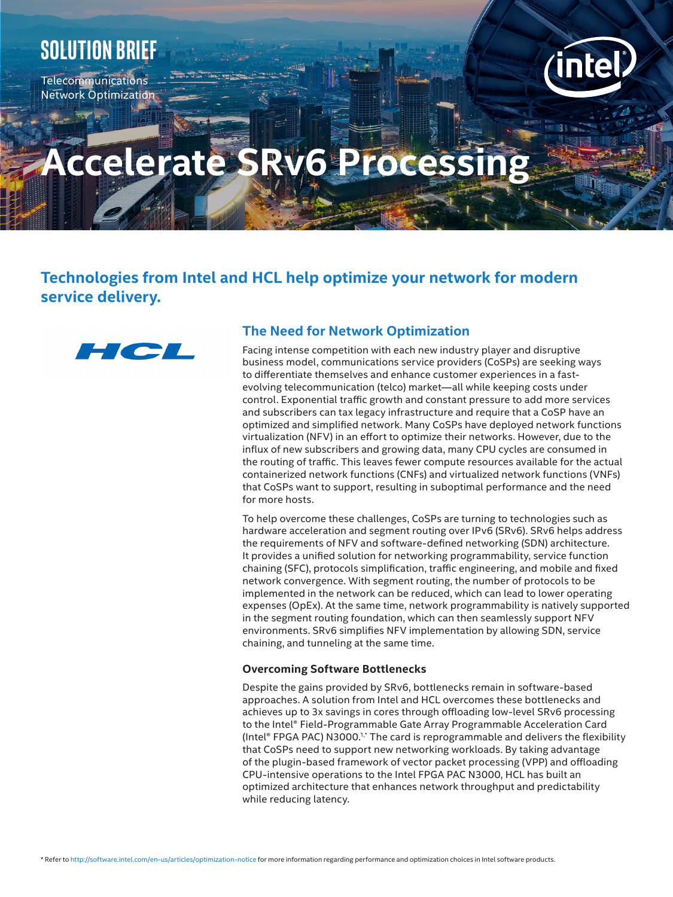# **Solution brief**

Telecommunications Network Optimization



# **Accelerate SRv6 Processi**

# **Technologies from Intel and HCL help optimize your network for modern service delivery.**



## **The Need for Network Optimization**

Facing intense competition with each new industry player and disruptive business model, communications service providers (CoSPs) are seeking ways to differentiate themselves and enhance customer experiences in a fastevolving telecommunication (telco) market—all while keeping costs under control. Exponential traffic growth and constant pressure to add more services and subscribers can tax legacy infrastructure and require that a CoSP have an optimized and simplified network. Many CoSPs have deployed network functions virtualization (NFV) in an effort to optimize their networks. However, due to the influx of new subscribers and growing data, many CPU cycles are consumed in the routing of traffic. This leaves fewer compute resources available for the actual containerized network functions (CNFs) and virtualized network functions (VNFs) that CoSPs want to support, resulting in suboptimal performance and the need for more hosts.

To help overcome these challenges, CoSPs are turning to technologies such as hardware acceleration and segment routing over IPv6 (SRv6). SRv6 helps address the requirements of NFV and software-defined networking (SDN) architecture. It provides a unified solution for networking programmability, service function chaining (SFC), protocols simplification, traffic engineering, and mobile and fixed network convergence. With segment routing, the number of protocols to be implemented in the network can be reduced, which can lead to lower operating expenses (OpEx). At the same time, network programmability is natively supported in the segment routing foundation, which can then seamlessly support NFV environments. SRv6 simplifies NFV implementation by allowing SDN, service chaining, and tunneling at the same time.

### **Overcoming Software Bottlenecks**

Despite the gains provided by SRv6, bottlenecks remain in software-based approaches. A solution from Intel and HCL overcomes these bottlenecks and achieves up to 3x savings in cores through offloading low-level SRv6 processing to the Intel® Field-Programmable Gate Array Programmable Acceleration Card (Intel® FPGA PAC) N3000.1,\* The card is reprogrammable and delivers the flexibility that CoSPs need to support new networking workloads. By taking advantage of the plugin-based framework of vector packet processing (VPP) and offloading CPU-intensive operations to the Intel FPGA PAC N3000, HCL has built an optimized architecture that enhances network throughput and predictability while reducing latency.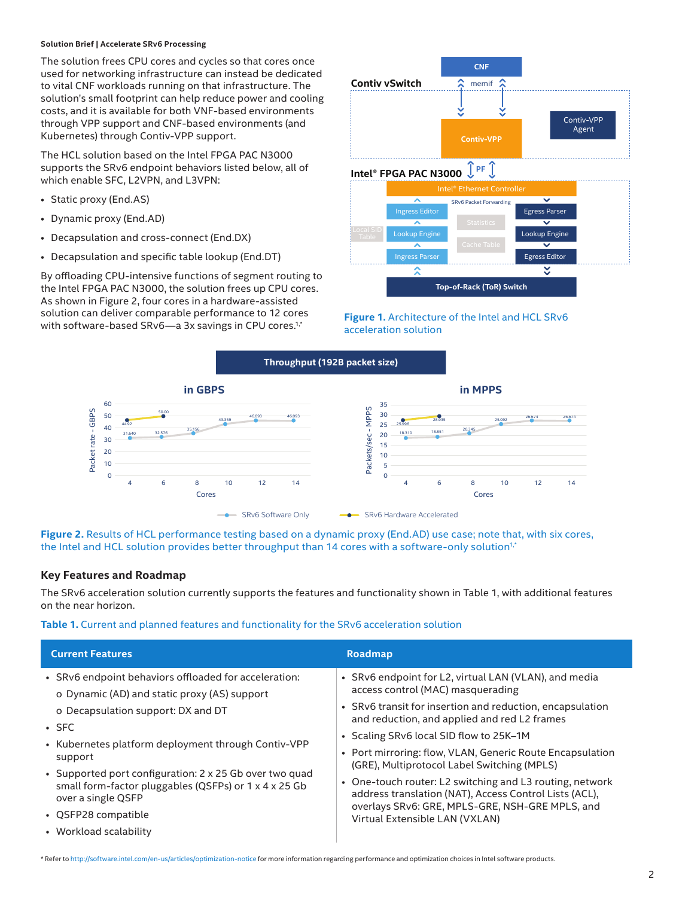#### **Solution Brief | Accelerate SRv6 Processing**

The solution frees CPU cores and cycles so that cores once used for networking infrastructure can instead be dedicated to vital CNF workloads running on that infrastructure. The solution's small footprint can help reduce power and cooling costs, and it is available for both VNF-based environments through VPP support and CNF-based environments (and Kubernetes) through Contiv-VPP support.

The HCL solution based on the Intel FPGA PAC N3000 supports the SRv6 endpoint behaviors listed below, all of which enable SFC, L2VPN, and L3VPN:

- Static proxy (End.AS)
- Dynamic proxy (End.AD)
- Decapsulation and cross-connect (End.DX)
- Decapsulation and specific table lookup (End.DT)

By offloading CPU-intensive functions of segment routing to the Intel FPGA PAC N3000, the solution frees up CPU cores. As shown in Figure 2, four cores in a hardware-assisted solution can deliver comparable performance to 12 cores solution can deliver comparable performance to 12 cores.<br>1. **Figure 1.** Architecture of the Intel and HCL SRv6<br>2. *Figure 1. Architecture of the Intel and HCL SRv6* 



# acceleration solution



**Figure 2.** Results of HCL performance testing based on a dynamic proxy (End.AD) use case; note that, with six cores, the Intel and HCL solution provides better throughput than 14 cores with a software-only solution<sup>1,\*</sup>

#### **Key Features and Roadmap**

The SRv6 acceleration solution currently supports the features and functionality shown in Table 1, with additional features on the near horizon.

**Table 1.** Current and planned features and functionality for the SRv6 acceleration solution

| <b>Current Features</b>                                                                                                                | <b>Roadmap</b>                                                                                                                                                        |
|----------------------------------------------------------------------------------------------------------------------------------------|-----------------------------------------------------------------------------------------------------------------------------------------------------------------------|
| • SRv6 endpoint behaviors offloaded for acceleration:<br>o Dynamic (AD) and static proxy (AS) support                                  | • SRv6 endpoint for L2, virtual LAN (VLAN), and media<br>access control (MAC) masquerading                                                                            |
| o Decapsulation support: DX and DT<br>$\cdot$ SFC                                                                                      | • SRv6 transit for insertion and reduction, encapsulation<br>and reduction, and applied and red L2 frames                                                             |
| • Kubernetes platform deployment through Contiv-VPP                                                                                    | • Scaling SRv6 local SID flow to 25K-1M                                                                                                                               |
| support                                                                                                                                | • Port mirroring: flow, VLAN, Generic Route Encapsulation<br>(GRE), Multiprotocol Label Switching (MPLS)                                                              |
| • Supported port configuration: 2 x 25 Gb over two quad<br>small form-factor pluggables (QSFPs) or 1 x 4 x 25 Gb<br>over a single QSFP | • One-touch router: L2 switching and L3 routing, network<br>address translation (NAT), Access Control Lists (ACL),<br>overlays SRv6: GRE, MPLS-GRE, NSH-GRE MPLS, and |
| • QSFP28 compatible                                                                                                                    | Virtual Extensible LAN (VXLAN)                                                                                                                                        |

• Workload scalability